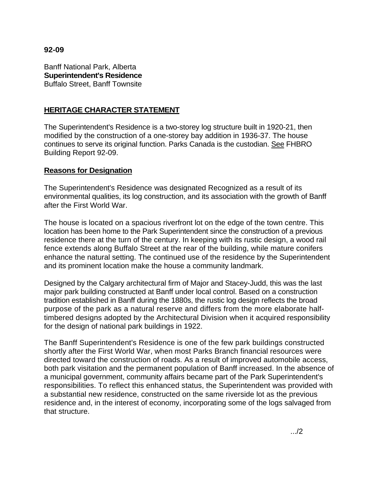# **92-09**

Banff National Park, Alberta **Superintendent's Residence**  Buffalo Street, Banff Townsite

# **HERITAGE CHARACTER STATEMENT**

The Superintendent's Residence is a two-storey log structure built in 1920-21, then modified by the construction of a one-storey bay addition in 1936-37. The house continues to serve its original function. Parks Canada is the custodian. See FHBRO Building Report 92-09.

### **Reasons for Designation**

The Superintendent's Residence was designated Recognized as a result of its environmental qualities, its log construction, and its association with the growth of Banff after the First World War.

The house is located on a spacious riverfront lot on the edge of the town centre. This location has been home to the Park Superintendent since the construction of a previous residence there at the turn of the century. In keeping with its rustic design, a wood rail fence extends along Buffalo Street at the rear of the building, while mature conifers enhance the natural setting. The continued use of the residence by the Superintendent and its prominent location make the house a community landmark.

Designed by the Calgary architectural firm of Major and Stacey-Judd, this was the last major park building constructed at Banff under local control. Based on a construction tradition established in Banff during the 1880s, the rustic log design reflects the broad purpose of the park as a natural reserve and differs from the more elaborate halftimbered designs adopted by the Architectural Division when it acquired responsibility for the design of national park buildings in 1922.

The Banff Superintendent's Residence is one of the few park buildings constructed shortly after the First World War, when most Parks Branch financial resources were directed toward the construction of roads. As a result of improved automobile access, both park visitation and the permanent population of Banff increased. In the absence of a municipal government, community affairs became part of the Park Superintendent's responsibilities. To reflect this enhanced status, the Superintendent was provided with a substantial new residence, constructed on the same riverside lot as the previous residence and, in the interest of economy, incorporating some of the logs salvaged from that structure.